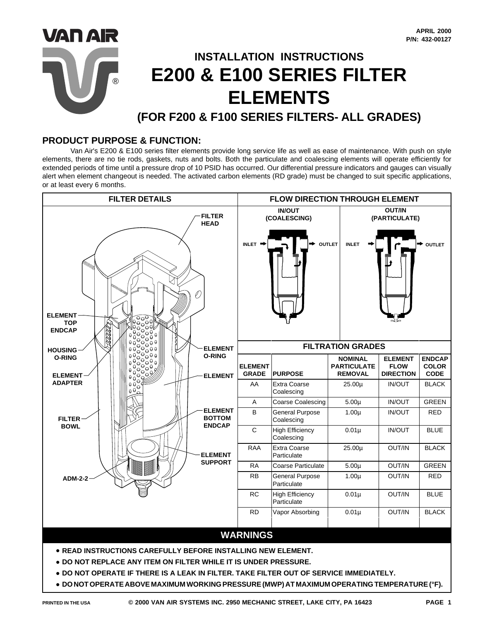

## **PRODUCT PURPOSE & FUNCTION:**

Van Air's E200 & E100 series filter elements provide long service life as well as ease of maintenance. With push on style elements, there are no tie rods, gaskets, nuts and bolts. Both the particulate and coalescing elements will operate efficiently for extended periods of time until a pressure drop of 10 PSID has occurred. Our differential pressure indicators and gauges can visually alert when element changeout is needed. The activated carbon elements (RD grade) must be changed to suit specific applications, or at least every 6 months.

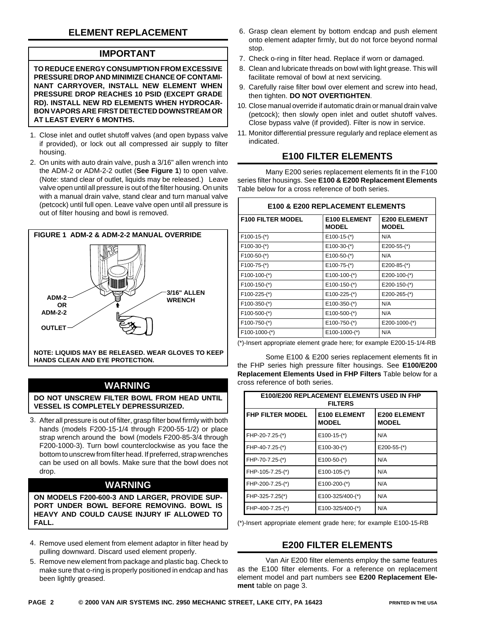# **ELEMENT REPLACEMENT**

## **IMPORTANT**

**NING**

**TO REDUCE ENERGY CONSUMPTION FROM EXCESSIVE PRESSURE DROP AND MINIMIZE CHANCE OF CONTAMI-NANT CARRYOVER, INSTALL NEW ELEMENT WHEN PRESSURE DROP REACHES 10 PSID (EXCEPT GRADE RD). INSTALL NEW RD ELEMENTS WHEN HYDROCAR-BON VAPORS ARE FIRST DETECTED DOWNSTREAM OR AT LEAST EVERY 6 MONTHS.**

- Close inlet and outlet shutoff valves (and open bypass valve 1. if provided), or lock out all compressed air supply to filter housing.
- 2. On units with auto drain valve, push a 3/16" allen wrench into the ADM-2 or ADM-2-2 outlet (**See Figure 1**) to open valve. (Note: stand clear of outlet, liquids may be released.) Leave valve open until all pressure is out of the filter housing. On units with a manual drain valve, stand clear and turn manual valve (petcock) until full open. Leave valve open until all pressure is out of filter housing and bowl is removed.



**NOTE: LIQUIDS MAY BE RELEASED. WEAR GLOVES TO KEEP HANDS CLEAN AND EYE PROTECTION.**

## **WARNING**

**DO NOT UNSCREW FILTER BOWL FROM HEAD UNTIL VESSEL IS COMPLETELY DEPRESSURIZED.**

3. After all pressure is out of filter, grasp filter bowl firmly with both hands (models F200-15-1/4 through F200-55-1/2) or place strap wrench around the bowl (models F200-85-3/4 through F200-1000-3). Turn bowl counterclockwise as you face the bottom to unscrew from filter head. If preferred, strap wrenches can be used on all bowls. Make sure that the bowl does not drop.

### **WARNING**

**ON MODELS F200-600-3 AND LARGER, PROVIDE SUP-PORT UNDER BOWL BEFORE REMOVING. BOWL IS HEAVY AND COULD CAUSE INJURY IF ALLOWED TO FALL.**

- 4. Remove used element from element adaptor in filter head by pulling downward. Discard used element properly.
- 5. Remove new element from package and plastic bag. Check to make sure that o-ring is properly positioned in endcap and has been lightly greased.
- 6. Grasp clean element by bottom endcap and push element onto element adapter firmly, but do not force beyond normal stop.
- 7. Check o-ring in filter head. Replace if worn or damaged.
- 8. Clean and lubricate threads on bowl with light grease. This will facilitate removal of bowl at next servicing.
- 9. Carefully raise filter bowl over element and screw into head, then tighten. **DO NOT OVERTIGHTEN**.
- 10. Close manual override if automatic drain or manual drain valve (petcock); then slowly open inlet and outlet shutoff valves. Close bypass valve (if provided). Filter is now in service.
- 11. Monitor differential pressure regularly and replace element as indicated.

## **E100 FILTER ELEMENTS**

Many E200 series replacement elements fit in the F100 series filter housings. See **E100 & E200 Replacement Elements** Table below for a cross reference of both series.

| <b>E100 &amp; E200 REPLACEMENT ELEMENTS</b> |                                     |                                     |  |  |  |  |
|---------------------------------------------|-------------------------------------|-------------------------------------|--|--|--|--|
| <b>F100 FILTER MODEL</b>                    | <b>E100 ELEMENT</b><br><b>MODEL</b> | <b>E200 ELEMENT</b><br><b>MODEL</b> |  |  |  |  |
| $F100-15-(*)$                               | $E100-15-(*)$                       | N/A                                 |  |  |  |  |
| $F100-30-(*)$                               | $E100-30-(*)$                       | $E200-55-(*)$                       |  |  |  |  |
| $F100-50-(*)$                               | $E100-50-(*)$                       | N/A                                 |  |  |  |  |
| $F100-75-(*)$                               | $E100-75-(*)$                       | $E200-85-(*)$                       |  |  |  |  |
| F100-100-(*)                                | $E100-100-(*)$                      | $E200-100-(*)$                      |  |  |  |  |
| F100-150-(*)                                | E100-150-(*)                        | $E200-150-(*)$                      |  |  |  |  |
| F100-225-(*)                                | E100-225-(*)                        | $E200-265-(*)$                      |  |  |  |  |
| F100-350-(*)                                | $E100-350-(*)$                      | N/A                                 |  |  |  |  |
| F100-500-(*)                                | E100-500-(*)                        | N/A                                 |  |  |  |  |
| F100-750-(*)                                | E100-750-(*)                        | E200-1000-(*)                       |  |  |  |  |
| F100-1000-(*)                               | E100-1000-(*)                       | N/A                                 |  |  |  |  |

(\*)-Insert appropriate element grade here; for example E200-15-1/4-RB

Some E100 & E200 series replacement elements fit in the FHP series high pressure filter housings. See **E100/E200 Replacement Elements Used in FHP Filters** Table below for a cross reference of both series.

| E100/E200 REPLACEMENT ELEMENTS USED IN FHP<br><b>FILTERS</b> |                                     |                                     |  |  |  |
|--------------------------------------------------------------|-------------------------------------|-------------------------------------|--|--|--|
| <b>FHP FILTER MODEL</b>                                      | <b>E100 ELEMENT</b><br><b>MODEL</b> | <b>E200 ELEMENT</b><br><b>MODEL</b> |  |  |  |
| FHP-20-7.25-(*)                                              | $E100-15-(*)$                       | N/A                                 |  |  |  |
| FHP-40-7.25-(*)                                              | $E100-30-(*)$                       | $E200-55-(*)$                       |  |  |  |
| FHP-70-7.25-(*)                                              | $E100-50-(*)$                       | N/A                                 |  |  |  |
| FHP-105-7.25-(*)                                             | $E100-105-(*)$                      | N/A                                 |  |  |  |
| FHP-200-7.25-(*)                                             | $E100-200-(*)$                      | N/A                                 |  |  |  |
| FHP-325-7.25(*)                                              | E100-325/400-(*)                    | N/A                                 |  |  |  |
| FHP-400-7.25-(*)                                             | E100-325/400-(*)                    | N/A                                 |  |  |  |

(\*)-Insert appropriate element grade here; for example E100-15-RB

### **E200 FILTER ELEMENTS**

Van Air E200 filter elements employ the same features as the E100 filter elements. For a reference on replacement element model and part numbers see **E200 Replacement Element** table on page 3.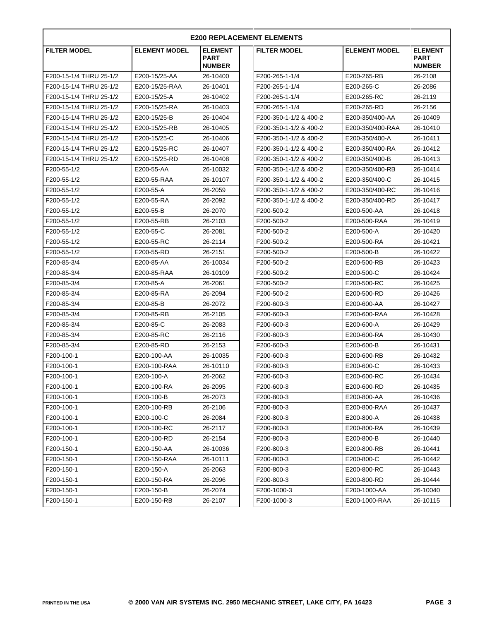| <b>E200 REPLACEMENT ELEMENTS</b> |                      |                                                |                        |                      |                                                |  |  |  |  |
|----------------------------------|----------------------|------------------------------------------------|------------------------|----------------------|------------------------------------------------|--|--|--|--|
| <b>FILTER MODEL</b>              | <b>ELEMENT MODEL</b> | <b>ELEMENT</b><br><b>PART</b><br><b>NUMBER</b> | <b>FILTER MODEL</b>    | <b>ELEMENT MODEL</b> | <b>ELEMENT</b><br><b>PART</b><br><b>NUMBER</b> |  |  |  |  |
| F200-15-1/4 THRU 25-1/2          | E200-15/25-AA        | 26-10400                                       | F200-265-1-1/4         | E200-265-RB          | 26-2108                                        |  |  |  |  |
| F200-15-1/4 THRU 25-1/2          | E200-15/25-RAA       | 26-10401                                       | F200-265-1-1/4         | E200-265-C           | 26-2086                                        |  |  |  |  |
| F200-15-1/4 THRU 25-1/2          | E200-15/25-A         | 26-10402                                       | F200-265-1-1/4         | E200-265-RC          | 26-2119                                        |  |  |  |  |
| F200-15-1/4 THRU 25-1/2          | E200-15/25-RA        | 26-10403                                       | F200-265-1-1/4         | E200-265-RD          | 26-2156                                        |  |  |  |  |
| F200-15-1/4 THRU 25-1/2          | E200-15/25-B         | 26-10404                                       | F200-350-1-1/2 & 400-2 | E200-350/400-AA      | 26-10409                                       |  |  |  |  |
| F200-15-1/4 THRU 25-1/2          | E200-15/25-RB        | 26-10405                                       | F200-350-1-1/2 & 400-2 | E200-350/400-RAA     | 26-10410                                       |  |  |  |  |
| F200-15-1/4 THRU 25-1/2          | E200-15/25-C         | 26-10406                                       | F200-350-1-1/2 & 400-2 | E200-350/400-A       | 26-10411                                       |  |  |  |  |
| F200-15-1/4 THRU 25-1/2          | E200-15/25-RC        | 26-10407                                       | F200-350-1-1/2 & 400-2 | E200-350/400-RA      | 26-10412                                       |  |  |  |  |
| F200-15-1/4 THRU 25-1/2          | E200-15/25-RD        | 26-10408                                       | F200-350-1-1/2 & 400-2 | E200-350/400-B       | 26-10413                                       |  |  |  |  |
| F200-55-1/2                      | E200-55-AA           | 26-10032                                       | F200-350-1-1/2 & 400-2 | E200-350/400-RB      | 26-10414                                       |  |  |  |  |
| F200-55-1/2                      | E200-55-RAA          | 26-10107                                       | F200-350-1-1/2 & 400-2 | E200-350/400-C       | 26-10415                                       |  |  |  |  |
| F200-55-1/2                      | E200-55-A            | 26-2059                                        | F200-350-1-1/2 & 400-2 | E200-350/400-RC      | 26-10416                                       |  |  |  |  |
| F200-55-1/2                      | E200-55-RA           | 26-2092                                        | F200-350-1-1/2 & 400-2 | E200-350/400-RD      | 26-10417                                       |  |  |  |  |
| F200-55-1/2                      | E200-55-B            | 26-2070                                        | F200-500-2             | E200-500-AA          | 26-10418                                       |  |  |  |  |
| F200-55-1/2                      | E200-55-RB           | 26-2103                                        | F200-500-2             | E200-500-RAA         | 26-10419                                       |  |  |  |  |
| F200-55-1/2                      | E200-55-C            | 26-2081                                        | F200-500-2             | E200-500-A           | 26-10420                                       |  |  |  |  |
| F200-55-1/2                      | E200-55-RC           | 26-2114                                        | F200-500-2             | E200-500-RA          | 26-10421                                       |  |  |  |  |
| F200-55-1/2                      | E200-55-RD           | 26-2151                                        | F200-500-2             | E200-500-B           | 26-10422                                       |  |  |  |  |
| F200-85-3/4                      | E200-85-AA           | 26-10034                                       | F200-500-2             | E200-500-RB          | 26-10423                                       |  |  |  |  |
| F200-85-3/4                      | E200-85-RAA          | 26-10109                                       | F200-500-2             | E200-500-C           | 26-10424                                       |  |  |  |  |
| F200-85-3/4                      | E200-85-A            | 26-2061                                        | F200-500-2             | E200-500-RC          | 26-10425                                       |  |  |  |  |
| F200-85-3/4                      | E200-85-RA           | 26-2094                                        | F200-500-2             | E200-500-RD          | 26-10426                                       |  |  |  |  |
| F200-85-3/4                      | E200-85-B            | 26-2072                                        | F200-600-3             | E200-600-AA          | 26-10427                                       |  |  |  |  |
| F200-85-3/4                      | E200-85-RB           | 26-2105                                        | F200-600-3             | E200-600-RAA         | 26-10428                                       |  |  |  |  |
| F200-85-3/4                      | E200-85-C            | 26-2083                                        | F200-600-3             | E200-600-A           | 26-10429                                       |  |  |  |  |
| F200-85-3/4                      | E200-85-RC           | 26-2116                                        | F200-600-3             | E200-600-RA          | 26-10430                                       |  |  |  |  |
| F200-85-3/4                      | E200-85-RD           | 26-2153                                        | F200-600-3             | E200-600-B           | 26-10431                                       |  |  |  |  |
| F200-100-1                       | E200-100-AA          | 26-10035                                       | F200-600-3             | E200-600-RB          | 26-10432                                       |  |  |  |  |
| F200-100-1                       | E200-100-RAA         | 26-10110                                       | F200-600-3             | E200-600-C           | 26-10433                                       |  |  |  |  |
| F200-100-1                       | E200-100-A           | 26-2062                                        | F200-600-3             | E200-600-RC          | 26-10434                                       |  |  |  |  |
| F200-100-1                       | E200-100-RA          | 26-2095                                        | F200-600-3             | E200-600-RD          | 26-10435                                       |  |  |  |  |
| F200-100-1                       | E200-100-B           | 26-2073                                        | F200-800-3             | E200-800-AA          | 26-10436                                       |  |  |  |  |
| F200-100-1                       | E200-100-RB          | 26-2106                                        | F200-800-3             | E200-800-RAA         | 26-10437                                       |  |  |  |  |
| F200-100-1                       | E200-100-C           | 26-2084                                        | F200-800-3             | E200-800-A           | 26-10438                                       |  |  |  |  |
| F200-100-1                       | E200-100-RC          | 26-2117                                        | F200-800-3             | E200-800-RA          | 26-10439                                       |  |  |  |  |
| F200-100-1                       | E200-100-RD          | 26-2154                                        | F200-800-3             | E200-800-B           | 26-10440                                       |  |  |  |  |
| F200-150-1                       | E200-150-AA          | 26-10036                                       | F200-800-3             | E200-800-RB          | 26-10441                                       |  |  |  |  |
| F200-150-1                       | E200-150-RAA         | 26-10111                                       | F200-800-3             | E200-800-C           | 26-10442                                       |  |  |  |  |
| F200-150-1                       | E200-150-A           | 26-2063                                        | F200-800-3             | E200-800-RC          | 26-10443                                       |  |  |  |  |
| F200-150-1                       | E200-150-RA          | 26-2096                                        | F200-800-3             | E200-800-RD          | 26-10444                                       |  |  |  |  |
| F200-150-1                       | E200-150-B           | 26-2074                                        | F200-1000-3            | E200-1000-AA         | 26-10040                                       |  |  |  |  |
| F200-150-1                       | E200-150-RB          | 26-2107                                        | F200-1000-3            | E200-1000-RAA        | 26-10115                                       |  |  |  |  |
|                                  |                      |                                                |                        |                      |                                                |  |  |  |  |